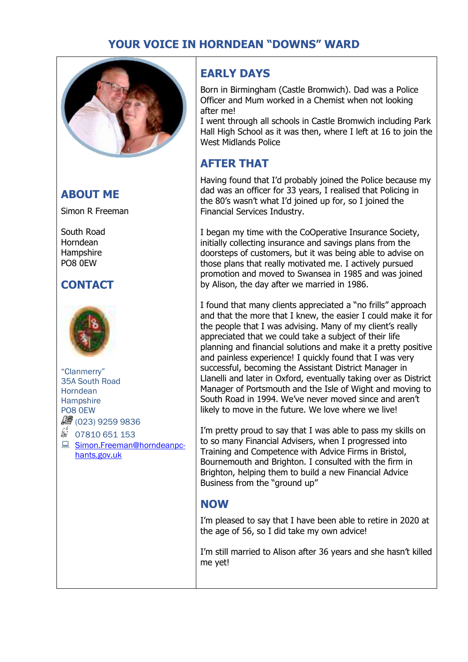## **YOUR VOICE IN HORNDEAN "DOWNS" WARD**



### **ABOUT ME**

Simon R Freeman

South Road Horndean **Hampshire** PO8 0EW

## **CONTACT**



"Clanmerry" 35A South Road **Horndean Hampshire** PO8 0EW ● (023) 9259 9836

 $$ 07810651153$ ■ Simon.Freeman@horndeanpchants.gov.uk

## **EARLY DAYS**

Born in Birmingham (Castle Bromwich). Dad was a Police Officer and Mum worked in a Chemist when not looking after me!

I went through all schools in Castle Bromwich including Park Hall High School as it was then, where I left at 16 to join the West Midlands Police

### **AFTER THAT**

Having found that I'd probably joined the Police because my dad was an officer for 33 years, I realised that Policing in the 80's wasn't what I'd joined up for, so I joined the Financial Services Industry.

I began my time with the CoOperative Insurance Society, initially collecting insurance and savings plans from the doorsteps of customers, but it was being able to advise on those plans that really motivated me. I actively pursued promotion and moved to Swansea in 1985 and was joined by Alison, the day after we married in 1986.

I found that many clients appreciated a "no frills" approach and that the more that I knew, the easier I could make it for the people that I was advising. Many of my client's really appreciated that we could take a subject of their life planning and financial solutions and make it a pretty positive and painless experience! I quickly found that I was very successful, becoming the Assistant District Manager in Llanelli and later in Oxford, eventually taking over as District Manager of Portsmouth and the Isle of Wight and moving to South Road in 1994. We've never moved since and aren't likely to move in the future. We love where we live!

I'm pretty proud to say that I was able to pass my skills on to so many Financial Advisers, when I progressed into Training and Competence with Advice Firms in Bristol, Bournemouth and Brighton. I consulted with the firm in Brighton, helping them to build a new Financial Advice Business from the "ground up"

#### **NOW**

I'm pleased to say that I have been able to retire in 2020 at the age of 56, so I did take my own advice!

I'm still married to Alison after 36 years and she hasn't killed me yet!